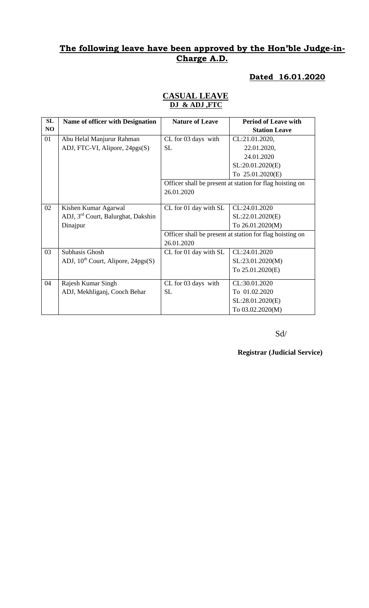### **Dated 16.01.2020**

### **CASUAL LEAVE DJ & ADJ ,FTC**

| SL | Name of officer with Designation               | <b>Nature of Leave</b> | <b>Period of Leave with</b>                              |
|----|------------------------------------------------|------------------------|----------------------------------------------------------|
| NO |                                                |                        | <b>Station Leave</b>                                     |
| 01 | Abu Helal Manjurur Rahman                      | CL for 03 days with    | CL:21.01.2020,                                           |
|    | ADJ, FTC-VI, Alipore, 24pgs(S)                 | <b>SL</b>              | 22.01.2020,                                              |
|    |                                                |                        | 24.01.2020                                               |
|    |                                                |                        | SL:20.01.2020(E)                                         |
|    |                                                |                        | To 25.01.2020(E)                                         |
|    |                                                |                        | Officer shall be present at station for flag hoisting on |
|    |                                                | 26.01.2020             |                                                          |
|    |                                                |                        |                                                          |
| 02 | Kishen Kumar Agarwal                           | CL for 01 day with SL  | CL:24.01.2020                                            |
|    | ADJ, 3 <sup>rd</sup> Court, Balurghat, Dakshin |                        | SL:22.01.2020(E)                                         |
|    | Dinajpur                                       |                        | To 26.01.2020(M)                                         |
|    |                                                |                        | Officer shall be present at station for flag hoisting on |
|    |                                                | 26.01.2020             |                                                          |
| 03 | Subhasis Ghosh                                 | CL for 01 day with SL  | CL:24.01.2020                                            |
|    | ADJ, $10^{th}$ Court, Alipore, 24pgs(S)        |                        | SL:23.01.2020(M)                                         |
|    |                                                |                        | To 25.01.2020(E)                                         |
| 04 | Rajesh Kumar Singh                             | CL for 03 days with    | CL:30.01.2020                                            |
|    | ADJ, Mekhliganj, Cooch Behar                   | <b>SL</b>              | To 01.02.2020                                            |
|    |                                                |                        | SL:28.01.2020(E)                                         |
|    |                                                |                        | To 03.02.2020(M)                                         |
|    |                                                |                        |                                                          |

Sd/

**Registrar (Judicial Service)**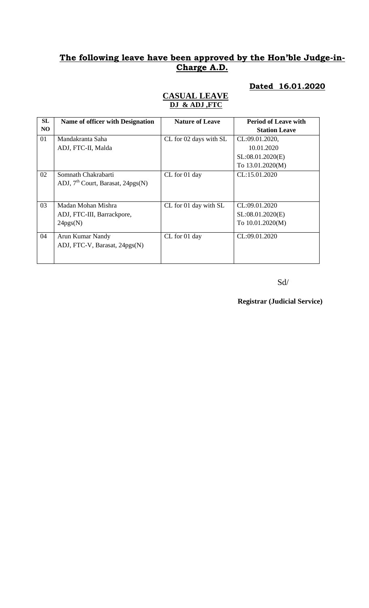### **Dated 16.01.2020**

#### **CASUAL LEAVE DJ & ADJ ,FTC**

| SL | <b>Name of officer with Designation</b> | <b>Nature of Leave</b> | <b>Period of Leave with</b> |
|----|-----------------------------------------|------------------------|-----------------------------|
| NO |                                         |                        | <b>Station Leave</b>        |
| 01 | Mandakranta Saha                        | CL for 02 days with SL | CL:09.01.2020,              |
|    | ADJ, FTC-II, Malda                      |                        | 10.01.2020                  |
|    |                                         |                        | SL:08.01.2020(E)            |
|    |                                         |                        | To 13.01.2020(M)            |
| 02 | Somnath Chakrabarti                     | CL for 01 day          | CL:15.01.2020               |
|    | ADJ, $7th$ Court, Barasat, 24pgs(N)     |                        |                             |
|    |                                         |                        |                             |
| 03 | Madan Mohan Mishra                      | CL for 01 day with SL  | CL:09.01.2020               |
|    | ADJ, FTC-III, Barrackpore,              |                        | SL:08.01.2020(E)            |
|    | 24pgs(N)                                |                        | To 10.01.2020(M)            |
| 04 | Arun Kumar Nandy                        | CL for 01 day          | CL:09.01.2020               |
|    | ADJ, FTC-V, Barasat, 24pgs(N)           |                        |                             |
|    |                                         |                        |                             |
|    |                                         |                        |                             |

Sd/

**Registrar (Judicial Service)**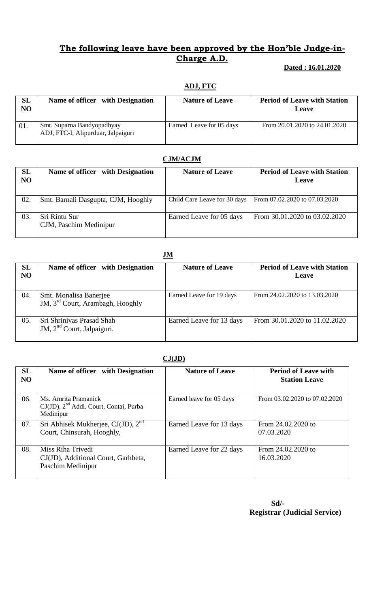#### **Dated : 16.01.2020**

#### **ADJ, FTC**

| <b>SL</b><br>NO | Name of officer with Designation                                 | <b>Nature of Leave</b>   | <b>Period of Leave with Station</b><br>Leave |
|-----------------|------------------------------------------------------------------|--------------------------|----------------------------------------------|
| 01.             | Smt. Suparna Bandyopadhyay<br>ADJ, FTC-I, Alipurduar, Jalpaiguri | Earned Leave for 05 days | From 20.01.2020 to 24.01.2020                |

## **CJM/ACJM**

| SL<br>NO | Name of officer with Designation        | <b>Nature of Leave</b>       | <b>Period of Leave with Station</b><br>Leave |
|----------|-----------------------------------------|------------------------------|----------------------------------------------|
| 02.      | Smt. Barnali Dasgupta, CJM, Hooghly     | Child Care Leave for 30 days | From 07.02.2020 to 07.03.2020                |
| 03.      | Sri Rintu Sur<br>CJM, Paschim Medinipur | Earned Leave for 05 days     | From 30.01.2020 to 03.02.2020                |

| SL<br><b>NO</b> | Name of officer with Designation                                       | <b>Nature of Leave</b>   | <b>Period of Leave with Station</b><br><b>Leave</b> |
|-----------------|------------------------------------------------------------------------|--------------------------|-----------------------------------------------------|
| 04.             | Smt. Monalisa Banerjee<br>JM, 3 <sup>rd</sup> Court, Arambagh, Hooghly | Earned Leave for 19 days | From 24.02.2020 to 13.03.2020                       |
| 05.             | Sri Shriniyas Prasad Shah<br>JM, 2 <sup>nd</sup> Court, Jalpaiguri.    | Earned Leave for 13 days | From 30.01.2020 to 11.02.2020                       |

#### **CJ(JD)**

| SL<br>N <sub>O</sub> | Name of officer with Designation                                                        | <b>Nature of Leave</b>   | <b>Period of Leave with</b><br><b>Station Leave</b> |
|----------------------|-----------------------------------------------------------------------------------------|--------------------------|-----------------------------------------------------|
| 06.                  | Ms. Amrita Pramanick<br>CJ(JD), 2 <sup>nd</sup> Addl. Court, Contai, Purba<br>Medinipur | Earned leave for 05 days | From 03.02.2020 to 07.02.2020                       |
| 07.                  | Sri Abhisek Mukherjee, CJ(JD), $2nd$<br>Court, Chinsurah, Hooghly,                      | Earned Leave for 13 days | From 24.02.2020 to<br>07.03.2020                    |
| 08.                  | Miss Riha Trivedi<br>CJ(JD), Additional Court, Garhbeta,<br>Paschim Medinipur           | Earned Leave for 22 days | From $24.02.2020$ to<br>16.03.2020                  |